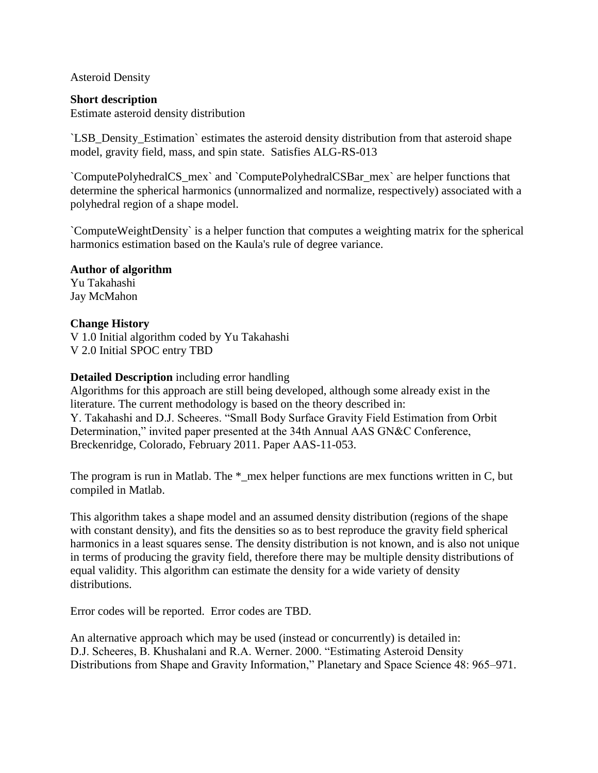Asteroid Density

### **Short description**

Estimate asteroid density distribution

`LSB\_Density\_Estimation` estimates the asteroid density distribution from that asteroid shape model, gravity field, mass, and spin state. Satisfies ALG-RS-013

`ComputePolyhedralCS\_mex` and `ComputePolyhedralCSBar\_mex` are helper functions that determine the spherical harmonics (unnormalized and normalize, respectively) associated with a polyhedral region of a shape model.

`ComputeWeightDensity` is a helper function that computes a weighting matrix for the spherical harmonics estimation based on the Kaula's rule of degree variance.

## **Author of algorithm**

Yu Takahashi Jay McMahon

## **Change History**

V 1.0 Initial algorithm coded by Yu Takahashi V 2.0 Initial SPOC entry TBD

## **Detailed Description** including error handling

Algorithms for this approach are still being developed, although some already exist in the literature. The current methodology is based on the theory described in: Y. Takahashi and D.J. Scheeres. "Small Body Surface Gravity Field Estimation from Orbit Determination," invited paper presented at the 34th Annual AAS GN&C Conference, Breckenridge, Colorado, February 2011. Paper AAS-11-053.

The program is run in Matlab. The  $*$  mex helper functions are mex functions written in C, but compiled in Matlab.

This algorithm takes a shape model and an assumed density distribution (regions of the shape with constant density), and fits the densities so as to best reproduce the gravity field spherical harmonics in a least squares sense. The density distribution is not known, and is also not unique in terms of producing the gravity field, therefore there may be multiple density distributions of equal validity. This algorithm can estimate the density for a wide variety of density distributions.

Error codes will be reported. Error codes are TBD.

An alternative approach which may be used (instead or concurrently) is detailed in: D.J. Scheeres, B. Khushalani and R.A. Werner. 2000. "Estimating Asteroid Density Distributions from Shape and Gravity Information," Planetary and Space Science 48: 965–971.